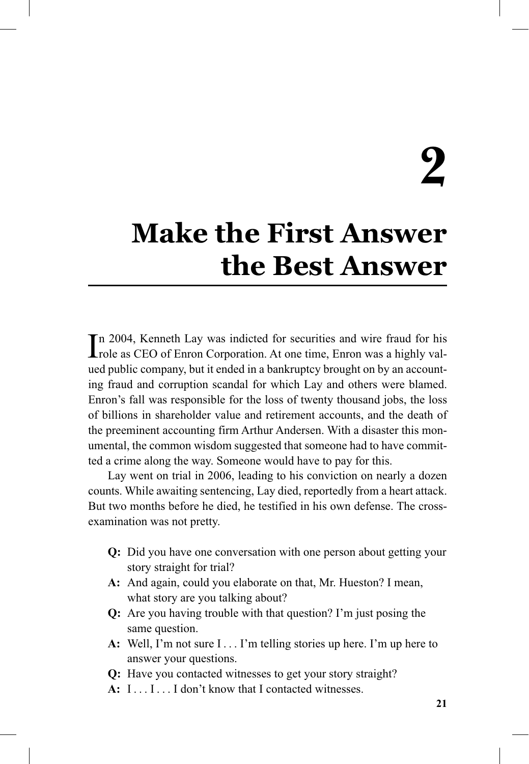# **2**

# **Make the First Answer the Best Answer**

In 2004, Kenneth Lay was indicted for securities and wire fraud for his role as CEO of Enron Corporation. At one time, Enron was a highly valrole as CEO of Enron Corporation. At one time, Enron was a highly valued public company, but it ended in a bankruptcy brought on by an accounting fraud and corruption scandal for which Lay and others were blamed. Enron's fall was responsible for the loss of twenty thousand jobs, the loss of billions in shareholder value and retirement accounts, and the death of the preeminent accounting firm Arthur Andersen. With a disaster this monumental, the common wisdom suggested that someone had to have committed a crime along the way. Someone would have to pay for this.

Lay went on trial in 2006, leading to his conviction on nearly a dozen counts. While awaiting sentencing, Lay died, reportedly from a heart attack. But two months before he died, he testified in his own defense. The crossexamination was not pretty.

- **Q:** Did you have one conversation with one person about getting your story straight for trial?
- **A:** And again, could you elaborate on that, Mr. Hueston? I mean, what story are you talking about?
- **Q:** Are you having trouble with that question? I'm just posing the same question.
- **A:** Well, I'm not sure I . . . I'm telling stories up here. I'm up here to answer your questions.
- **Q:** Have you contacted witnesses to get your story straight?
- **A:** I . . . I . . . I don't know that I contacted witnesses.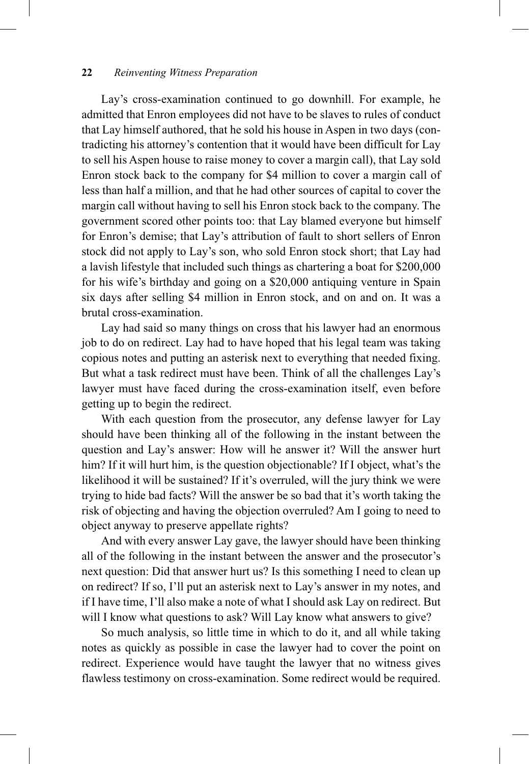Lay's cross-examination continued to go downhill. For example, he admitted that Enron employees did not have to be slaves to rules of conduct that Lay himself authored, that he sold his house in Aspen in two days (contradicting his attorney's contention that it would have been difficult for Lay to sell his Aspen house to raise money to cover a margin call), that Lay sold Enron stock back to the company for \$4 million to cover a margin call of less than half a million, and that he had other sources of capital to cover the margin call without having to sell his Enron stock back to the company. The government scored other points too: that Lay blamed everyone but himself for Enron's demise; that Lay's attribution of fault to short sellers of Enron stock did not apply to Lay's son, who sold Enron stock short; that Lay had a lavish lifestyle that included such things as chartering a boat for \$200,000 for his wife's birthday and going on a \$20,000 antiquing venture in Spain six days after selling \$4 million in Enron stock, and on and on. It was a brutal cross-examination.

Lay had said so many things on cross that his lawyer had an enormous job to do on redirect. Lay had to have hoped that his legal team was taking copious notes and putting an asterisk next to everything that needed fixing. But what a task redirect must have been. Think of all the challenges Lay's lawyer must have faced during the cross-examination itself, even before getting up to begin the redirect.

With each question from the prosecutor, any defense lawyer for Lay should have been thinking all of the following in the instant between the question and Lay's answer: How will he answer it? Will the answer hurt him? If it will hurt him, is the question objectionable? If I object, what's the likelihood it will be sustained? If it's overruled, will the jury think we were trying to hide bad facts? Will the answer be so bad that it's worth taking the risk of objecting and having the objection overruled? Am I going to need to object anyway to preserve appellate rights?

And with every answer Lay gave, the lawyer should have been thinking all of the following in the instant between the answer and the prosecutor's next question: Did that answer hurt us? Is this something I need to clean up on redirect? If so, I'll put an asterisk next to Lay's answer in my notes, and if I have time, I'll also make a note of what I should ask Lay on redirect. But will I know what questions to ask? Will Lay know what answers to give?

So much analysis, so little time in which to do it, and all while taking notes as quickly as possible in case the lawyer had to cover the point on redirect. Experience would have taught the lawyer that no witness gives flawless testimony on cross-examination. Some redirect would be required.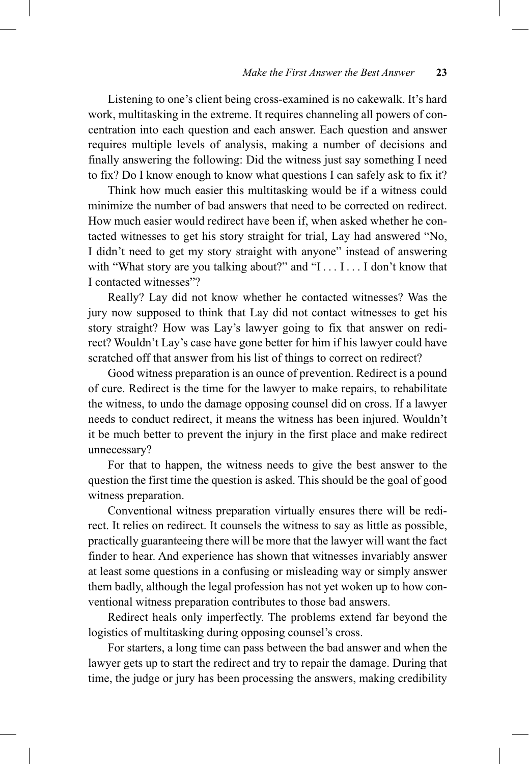Listening to one's client being cross-examined is no cakewalk. It's hard work, multitasking in the extreme. It requires channeling all powers of concentration into each question and each answer. Each question and answer requires multiple levels of analysis, making a number of decisions and finally answering the following: Did the witness just say something I need to fix? Do I know enough to know what questions I can safely ask to fix it?

Think how much easier this multitasking would be if a witness could minimize the number of bad answers that need to be corrected on redirect. How much easier would redirect have been if, when asked whether he contacted witnesses to get his story straight for trial, Lay had answered "No, I didn't need to get my story straight with anyone" instead of answering with "What story are you talking about?" and "I . . . I . . . I don't know that I contacted witnesses"?

Really? Lay did not know whether he contacted witnesses? Was the jury now supposed to think that Lay did not contact witnesses to get his story straight? How was Lay's lawyer going to fix that answer on redirect? Wouldn't Lay's case have gone better for him if his lawyer could have scratched off that answer from his list of things to correct on redirect?

Good witness preparation is an ounce of prevention. Redirect is a pound of cure. Redirect is the time for the lawyer to make repairs, to rehabilitate the witness, to undo the damage opposing counsel did on cross. If a lawyer needs to conduct redirect, it means the witness has been injured. Wouldn't it be much better to prevent the injury in the first place and make redirect unnecessary?

For that to happen, the witness needs to give the best answer to the question the first time the question is asked. This should be the goal of good witness preparation.

Conventional witness preparation virtually ensures there will be redirect. It relies on redirect. It counsels the witness to say as little as possible, practically guaranteeing there will be more that the lawyer will want the fact finder to hear. And experience has shown that witnesses invariably answer at least some questions in a confusing or misleading way or simply answer them badly, although the legal profession has not yet woken up to how conventional witness preparation contributes to those bad answers.

Redirect heals only imperfectly. The problems extend far beyond the logistics of multitasking during opposing counsel's cross.

For starters, a long time can pass between the bad answer and when the lawyer gets up to start the redirect and try to repair the damage. During that time, the judge or jury has been processing the answers, making credibility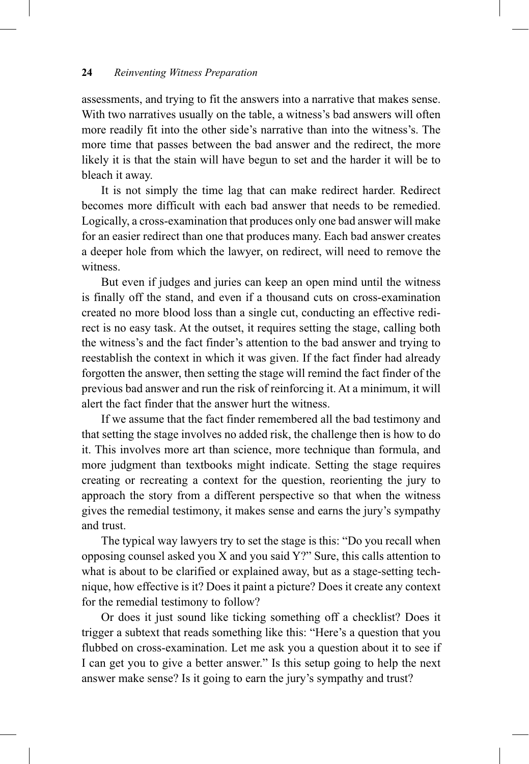assessments, and trying to fit the answers into a narrative that makes sense. With two narratives usually on the table, a witness's bad answers will often more readily fit into the other side's narrative than into the witness's. The more time that passes between the bad answer and the redirect, the more likely it is that the stain will have begun to set and the harder it will be to bleach it away.

It is not simply the time lag that can make redirect harder. Redirect becomes more difficult with each bad answer that needs to be remedied. Logically, a cross-examination that produces only one bad answer will make for an easier redirect than one that produces many. Each bad answer creates a deeper hole from which the lawyer, on redirect, will need to remove the witness.

But even if judges and juries can keep an open mind until the witness is finally off the stand, and even if a thousand cuts on cross-examination created no more blood loss than a single cut, conducting an effective redirect is no easy task. At the outset, it requires setting the stage, calling both the witness's and the fact finder's attention to the bad answer and trying to reestablish the context in which it was given. If the fact finder had already forgotten the answer, then setting the stage will remind the fact finder of the previous bad answer and run the risk of reinforcing it. At a minimum, it will alert the fact finder that the answer hurt the witness.

If we assume that the fact finder remembered all the bad testimony and that setting the stage involves no added risk, the challenge then is how to do it. This involves more art than science, more technique than formula, and more judgment than textbooks might indicate. Setting the stage requires creating or recreating a context for the question, reorienting the jury to approach the story from a different perspective so that when the witness gives the remedial testimony, it makes sense and earns the jury's sympathy and trust.

The typical way lawyers try to set the stage is this: "Do you recall when opposing counsel asked you X and you said Y?" Sure, this calls attention to what is about to be clarified or explained away, but as a stage-setting technique, how effective is it? Does it paint a picture? Does it create any context for the remedial testimony to follow?

Or does it just sound like ticking something off a checklist? Does it trigger a subtext that reads something like this: "Here's a question that you flubbed on cross-examination. Let me ask you a question about it to see if I can get you to give a better answer." Is this setup going to help the next answer make sense? Is it going to earn the jury's sympathy and trust?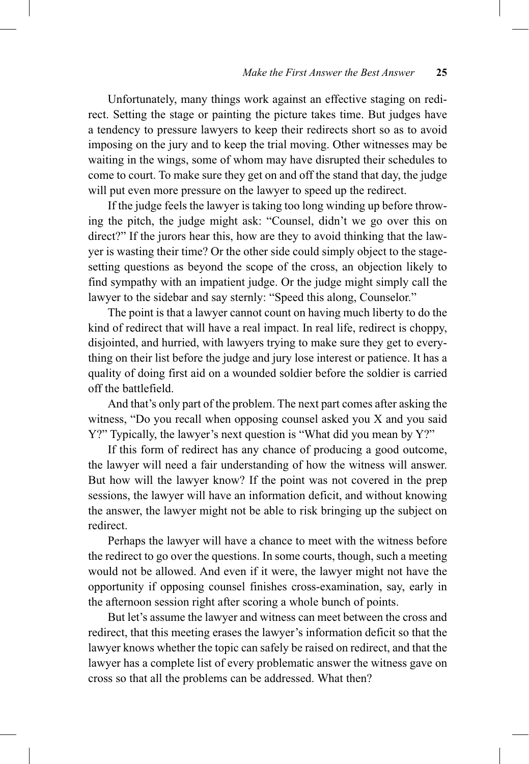Unfortunately, many things work against an effective staging on redirect. Setting the stage or painting the picture takes time. But judges have a tendency to pressure lawyers to keep their redirects short so as to avoid imposing on the jury and to keep the trial moving. Other witnesses may be waiting in the wings, some of whom may have disrupted their schedules to come to court. To make sure they get on and off the stand that day, the judge will put even more pressure on the lawyer to speed up the redirect.

If the judge feels the lawyer is taking too long winding up before throwing the pitch, the judge might ask: "Counsel, didn't we go over this on direct?" If the jurors hear this, how are they to avoid thinking that the lawyer is wasting their time? Or the other side could simply object to the stagesetting questions as beyond the scope of the cross, an objection likely to find sympathy with an impatient judge. Or the judge might simply call the lawyer to the sidebar and say sternly: "Speed this along, Counselor."

The point is that a lawyer cannot count on having much liberty to do the kind of redirect that will have a real impact. In real life, redirect is choppy, disjointed, and hurried, with lawyers trying to make sure they get to everything on their list before the judge and jury lose interest or patience. It has a quality of doing first aid on a wounded soldier before the soldier is carried off the battlefield.

And that's only part of the problem. The next part comes after asking the witness, "Do you recall when opposing counsel asked you X and you said Y?" Typically, the lawyer's next question is "What did you mean by Y?"

If this form of redirect has any chance of producing a good outcome, the lawyer will need a fair understanding of how the witness will answer. But how will the lawyer know? If the point was not covered in the prep sessions, the lawyer will have an information deficit, and without knowing the answer, the lawyer might not be able to risk bringing up the subject on redirect.

Perhaps the lawyer will have a chance to meet with the witness before the redirect to go over the questions. In some courts, though, such a meeting would not be allowed. And even if it were, the lawyer might not have the opportunity if opposing counsel finishes cross-examination, say, early in the afternoon session right after scoring a whole bunch of points.

But let's assume the lawyer and witness can meet between the cross and redirect, that this meeting erases the lawyer's information deficit so that the lawyer knows whether the topic can safely be raised on redirect, and that the lawyer has a complete list of every problematic answer the witness gave on cross so that all the problems can be addressed. What then?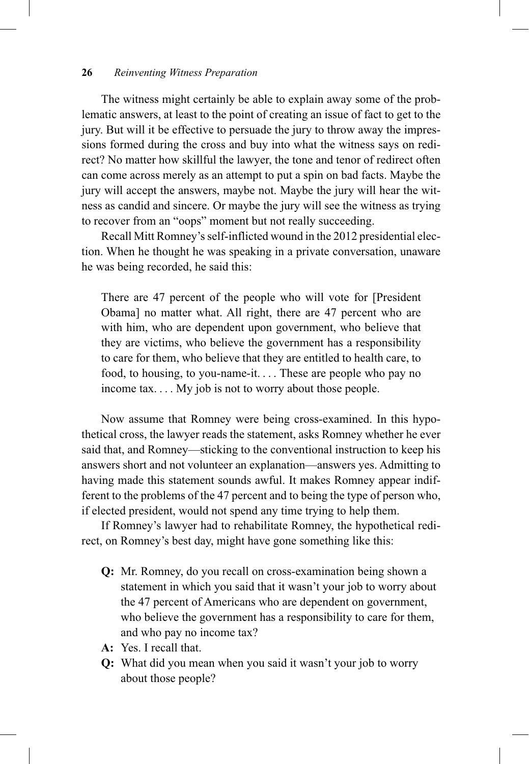The witness might certainly be able to explain away some of the problematic answers, at least to the point of creating an issue of fact to get to the jury. But will it be effective to persuade the jury to throw away the impressions formed during the cross and buy into what the witness says on redirect? No matter how skillful the lawyer, the tone and tenor of redirect often can come across merely as an attempt to put a spin on bad facts. Maybe the jury will accept the answers, maybe not. Maybe the jury will hear the witness as candid and sincere. Or maybe the jury will see the witness as trying to recover from an "oops" moment but not really succeeding.

Recall Mitt Romney's self-inflicted wound in the 2012 presidential election. When he thought he was speaking in a private conversation, unaware he was being recorded, he said this:

There are 47 percent of the people who will vote for [President Obama] no matter what. All right, there are 47 percent who are with him, who are dependent upon government, who believe that they are victims, who believe the government has a responsibility to care for them, who believe that they are entitled to health care, to food, to housing, to you-name-it. . . . These are people who pay no income tax. . . . My job is not to worry about those people.

Now assume that Romney were being cross-examined. In this hypothetical cross, the lawyer reads the statement, asks Romney whether he ever said that, and Romney—sticking to the conventional instruction to keep his answers short and not volunteer an explanation—answers yes. Admitting to having made this statement sounds awful. It makes Romney appear indifferent to the problems of the 47 percent and to being the type of person who, if elected president, would not spend any time trying to help them.

If Romney's lawyer had to rehabilitate Romney, the hypothetical redirect, on Romney's best day, might have gone something like this:

- **Q:** Mr. Romney, do you recall on cross-examination being shown a statement in which you said that it wasn't your job to worry about the 47 percent of Americans who are dependent on government, who believe the government has a responsibility to care for them, and who pay no income tax?
- **A:** Yes. I recall that.
- **Q:** What did you mean when you said it wasn't your job to worry about those people?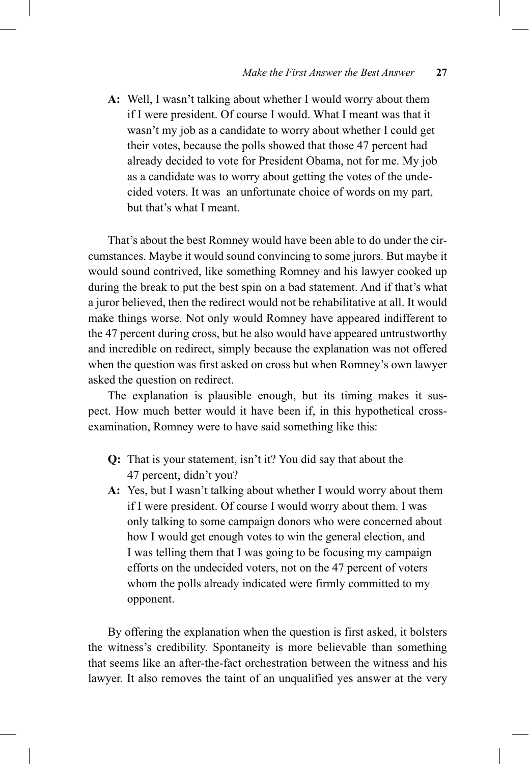**A:** Well, I wasn't talking about whether I would worry about them if I were president. Of course I would. What I meant was that it wasn't my job as a candidate to worry about whether I could get their votes, because the polls showed that those 47 percent had already decided to vote for President Obama, not for me. My job as a candidate was to worry about getting the votes of the undecided voters. It was an unfortunate choice of words on my part, but that's what I meant.

That's about the best Romney would have been able to do under the circumstances. Maybe it would sound convincing to some jurors. But maybe it would sound contrived, like something Romney and his lawyer cooked up during the break to put the best spin on a bad statement. And if that's what a juror believed, then the redirect would not be rehabilitative at all. It would make things worse. Not only would Romney have appeared indifferent to the 47 percent during cross, but he also would have appeared untrustworthy and incredible on redirect, simply because the explanation was not offered when the question was first asked on cross but when Romney's own lawyer asked the question on redirect.

The explanation is plausible enough, but its timing makes it suspect. How much better would it have been if, in this hypothetical crossexamination, Romney were to have said something like this:

- **Q:** That is your statement, isn't it? You did say that about the 47 percent, didn't you?
- **A:** Yes, but I wasn't talking about whether I would worry about them if I were president. Of course I would worry about them. I was only talking to some campaign donors who were concerned about how I would get enough votes to win the general election, and I was telling them that I was going to be focusing my campaign efforts on the undecided voters, not on the 47 percent of voters whom the polls already indicated were firmly committed to my opponent.

By offering the explanation when the question is first asked, it bolsters the witness's credibility. Spontaneity is more believable than something that seems like an after-the-fact orchestration between the witness and his lawyer. It also removes the taint of an unqualified yes answer at the very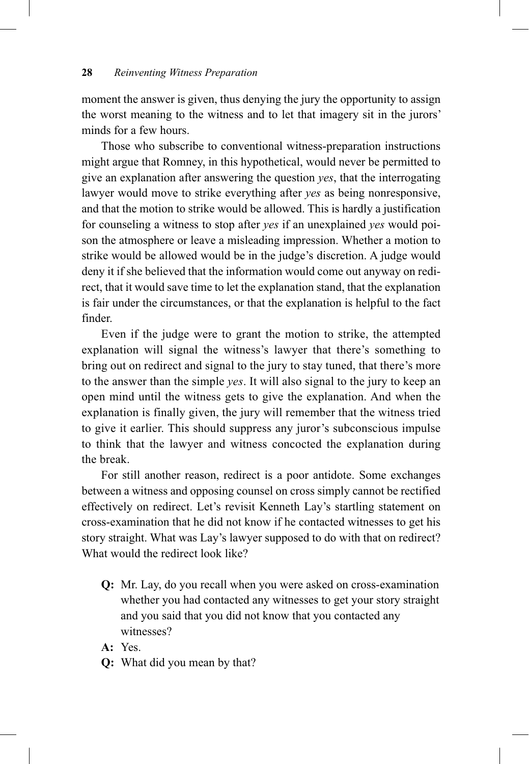moment the answer is given, thus denying the jury the opportunity to assign the worst meaning to the witness and to let that imagery sit in the jurors' minds for a few hours.

Those who subscribe to conventional witness-preparation instructions might argue that Romney, in this hypothetical, would never be permitted to give an explanation after answering the question *yes*, that the interrogating lawyer would move to strike everything after *yes* as being nonresponsive, and that the motion to strike would be allowed. This is hardly a justification for counseling a witness to stop after *yes* if an unexplained *yes* would poison the atmosphere or leave a misleading impression. Whether a motion to strike would be allowed would be in the judge's discretion. A judge would deny it if she believed that the information would come out anyway on redirect, that it would save time to let the explanation stand, that the explanation is fair under the circumstances, or that the explanation is helpful to the fact finder.

Even if the judge were to grant the motion to strike, the attempted explanation will signal the witness's lawyer that there's something to bring out on redirect and signal to the jury to stay tuned, that there's more to the answer than the simple *yes*. It will also signal to the jury to keep an open mind until the witness gets to give the explanation. And when the explanation is finally given, the jury will remember that the witness tried to give it earlier. This should suppress any juror's subconscious impulse to think that the lawyer and witness concocted the explanation during the break.

For still another reason, redirect is a poor antidote. Some exchanges between a witness and opposing counsel on cross simply cannot be rectified effectively on redirect. Let's revisit Kenneth Lay's startling statement on cross-examination that he did not know if he contacted witnesses to get his story straight. What was Lay's lawyer supposed to do with that on redirect? What would the redirect look like?

- **Q:** Mr. Lay, do you recall when you were asked on cross-examination whether you had contacted any witnesses to get your story straight and you said that you did not know that you contacted any witnesses?
- **A:** Yes.
- **Q:** What did you mean by that?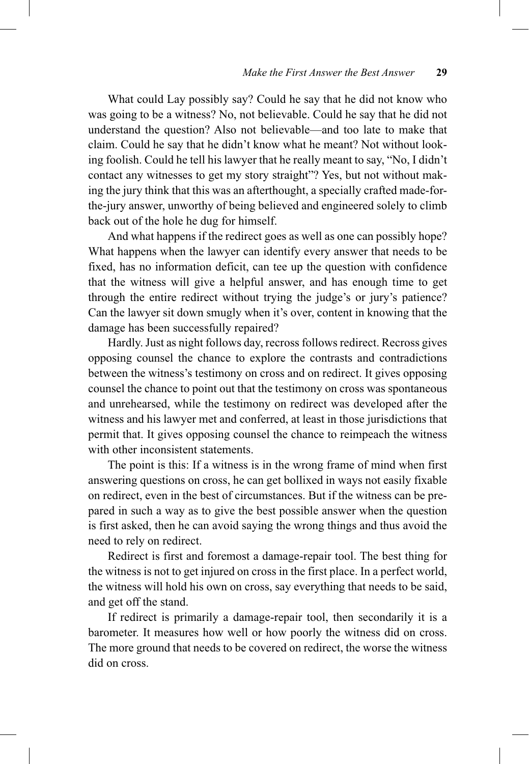What could Lay possibly say? Could he say that he did not know who was going to be a witness? No, not believable. Could he say that he did not understand the question? Also not believable—and too late to make that claim. Could he say that he didn't know what he meant? Not without looking foolish. Could he tell his lawyer that he really meant to say, "No, I didn't contact any witnesses to get my story straight"? Yes, but not without making the jury think that this was an afterthought, a specially crafted made-forthe-jury answer, unworthy of being believed and engineered solely to climb back out of the hole he dug for himself.

And what happens if the redirect goes as well as one can possibly hope? What happens when the lawyer can identify every answer that needs to be fixed, has no information deficit, can tee up the question with confidence that the witness will give a helpful answer, and has enough time to get through the entire redirect without trying the judge's or jury's patience? Can the lawyer sit down smugly when it's over, content in knowing that the damage has been successfully repaired?

Hardly. Just as night follows day, recross follows redirect. Recross gives opposing counsel the chance to explore the contrasts and contradictions between the witness's testimony on cross and on redirect. It gives opposing counsel the chance to point out that the testimony on cross was spontaneous and unrehearsed, while the testimony on redirect was developed after the witness and his lawyer met and conferred, at least in those jurisdictions that permit that. It gives opposing counsel the chance to reimpeach the witness with other inconsistent statements.

The point is this: If a witness is in the wrong frame of mind when first answering questions on cross, he can get bollixed in ways not easily fixable on redirect, even in the best of circumstances. But if the witness can be prepared in such a way as to give the best possible answer when the question is first asked, then he can avoid saying the wrong things and thus avoid the need to rely on redirect.

Redirect is first and foremost a damage-repair tool. The best thing for the witness is not to get injured on cross in the first place. In a perfect world, the witness will hold his own on cross, say everything that needs to be said, and get off the stand.

If redirect is primarily a damage-repair tool, then secondarily it is a barometer. It measures how well or how poorly the witness did on cross. The more ground that needs to be covered on redirect, the worse the witness did on cross.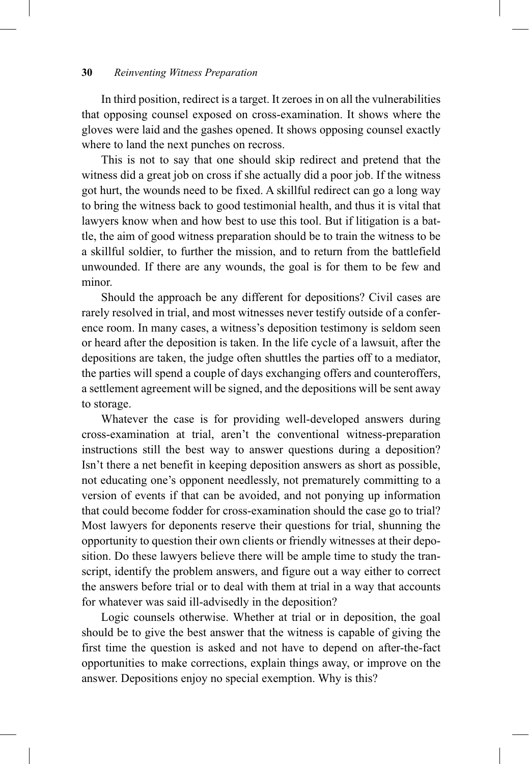In third position, redirect is a target. It zeroes in on all the vulnerabilities that opposing counsel exposed on cross-examination. It shows where the gloves were laid and the gashes opened. It shows opposing counsel exactly where to land the next punches on recross.

This is not to say that one should skip redirect and pretend that the witness did a great job on cross if she actually did a poor job. If the witness got hurt, the wounds need to be fixed. A skillful redirect can go a long way to bring the witness back to good testimonial health, and thus it is vital that lawyers know when and how best to use this tool. But if litigation is a battle, the aim of good witness preparation should be to train the witness to be a skillful soldier, to further the mission, and to return from the battlefield unwounded. If there are any wounds, the goal is for them to be few and minor.

Should the approach be any different for depositions? Civil cases are rarely resolved in trial, and most witnesses never testify outside of a conference room. In many cases, a witness's deposition testimony is seldom seen or heard after the deposition is taken. In the life cycle of a lawsuit, after the depositions are taken, the judge often shuttles the parties off to a mediator, the parties will spend a couple of days exchanging offers and counteroffers, a settlement agreement will be signed, and the depositions will be sent away to storage.

Whatever the case is for providing well-developed answers during cross-examination at trial, aren't the conventional witness-preparation instructions still the best way to answer questions during a deposition? Isn't there a net benefit in keeping deposition answers as short as possible, not educating one's opponent needlessly, not prematurely committing to a version of events if that can be avoided, and not ponying up information that could become fodder for cross-examination should the case go to trial? Most lawyers for deponents reserve their questions for trial, shunning the opportunity to question their own clients or friendly witnesses at their deposition. Do these lawyers believe there will be ample time to study the transcript, identify the problem answers, and figure out a way either to correct the answers before trial or to deal with them at trial in a way that accounts for whatever was said ill-advisedly in the deposition?

Logic counsels otherwise. Whether at trial or in deposition, the goal should be to give the best answer that the witness is capable of giving the first time the question is asked and not have to depend on after-the-fact opportunities to make corrections, explain things away, or improve on the answer. Depositions enjoy no special exemption. Why is this?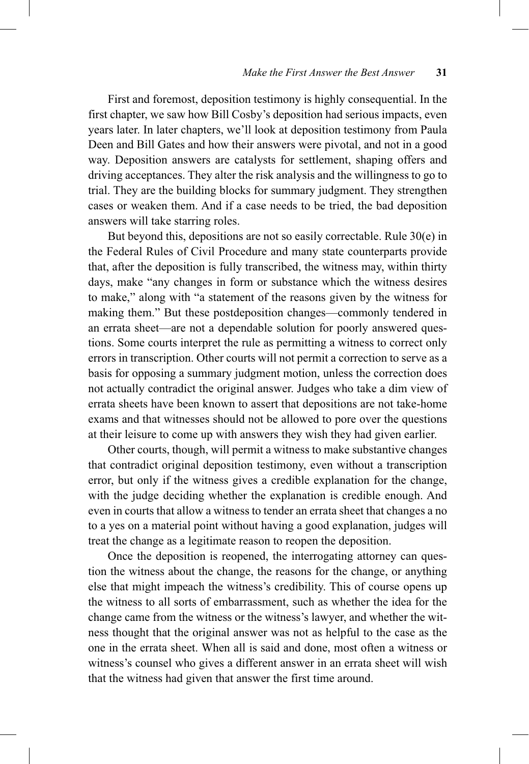First and foremost, deposition testimony is highly consequential. In the first chapter, we saw how Bill Cosby's deposition had serious impacts, even years later. In later chapters, we'll look at deposition testimony from Paula Deen and Bill Gates and how their answers were pivotal, and not in a good way. Deposition answers are catalysts for settlement, shaping offers and driving acceptances. They alter the risk analysis and the willingness to go to trial. They are the building blocks for summary judgment. They strengthen cases or weaken them. And if a case needs to be tried, the bad deposition answers will take starring roles.

But beyond this, depositions are not so easily correctable. Rule 30(e) in the Federal Rules of Civil Procedure and many state counterparts provide that, after the deposition is fully transcribed, the witness may, within thirty days, make "any changes in form or substance which the witness desires to make," along with "a statement of the reasons given by the witness for making them." But these postdeposition changes—commonly tendered in an errata sheet—are not a dependable solution for poorly answered questions. Some courts interpret the rule as permitting a witness to correct only errors in transcription. Other courts will not permit a correction to serve as a basis for opposing a summary judgment motion, unless the correction does not actually contradict the original answer. Judges who take a dim view of errata sheets have been known to assert that depositions are not take-home exams and that witnesses should not be allowed to pore over the questions at their leisure to come up with answers they wish they had given earlier.

Other courts, though, will permit a witness to make substantive changes that contradict original deposition testimony, even without a transcription error, but only if the witness gives a credible explanation for the change, with the judge deciding whether the explanation is credible enough. And even in courts that allow a witness to tender an errata sheet that changes a no to a yes on a material point without having a good explanation, judges will treat the change as a legitimate reason to reopen the deposition.

Once the deposition is reopened, the interrogating attorney can question the witness about the change, the reasons for the change, or anything else that might impeach the witness's credibility. This of course opens up the witness to all sorts of embarrassment, such as whether the idea for the change came from the witness or the witness's lawyer, and whether the witness thought that the original answer was not as helpful to the case as the one in the errata sheet. When all is said and done, most often a witness or witness's counsel who gives a different answer in an errata sheet will wish that the witness had given that answer the first time around.